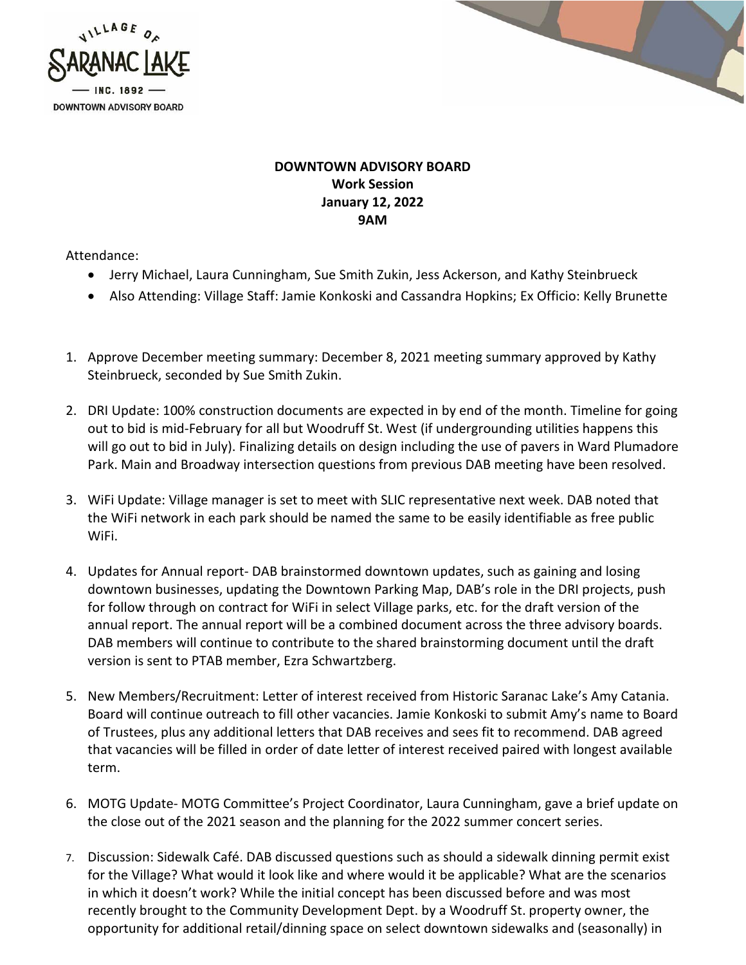



## **DOWNTOWN ADVISORY BOARD Work Session January 12, 2022 9AM**

Attendance:

- Jerry Michael, Laura Cunningham, Sue Smith Zukin, Jess Ackerson, and Kathy Steinbrueck
- Also Attending: Village Staff: Jamie Konkoski and Cassandra Hopkins; Ex Officio: Kelly Brunette
- 1. Approve December meeting summary: December 8, 2021 meeting summary approved by Kathy Steinbrueck, seconded by Sue Smith Zukin.
- 2. DRI Update: 100% construction documents are expected in by end of the month. Timeline for going out to bid is mid-February for all but Woodruff St. West (if undergrounding utilities happens this will go out to bid in July). Finalizing details on design including the use of pavers in Ward Plumadore Park. Main and Broadway intersection questions from previous DAB meeting have been resolved.
- 3. WiFi Update: Village manager is set to meet with SLIC representative next week. DAB noted that the WiFi network in each park should be named the same to be easily identifiable as free public WiFi.
- 4. Updates for Annual report- DAB brainstormed downtown updates, such as gaining and losing downtown businesses, updating the Downtown Parking Map, DAB's role in the DRI projects, push for follow through on contract for WiFi in select Village parks, etc. for the draft version of the annual report. The annual report will be a combined document across the three advisory boards. DAB members will continue to contribute to the shared brainstorming document until the draft version is sent to PTAB member, Ezra Schwartzberg.
- 5. New Members/Recruitment: Letter of interest received from Historic Saranac Lake's Amy Catania. Board will continue outreach to fill other vacancies. Jamie Konkoski to submit Amy's name to Board of Trustees, plus any additional letters that DAB receives and sees fit to recommend. DAB agreed that vacancies will be filled in order of date letter of interest received paired with longest available term.
- 6. MOTG Update- MOTG Committee's Project Coordinator, Laura Cunningham, gave a brief update on the close out of the 2021 season and the planning for the 2022 summer concert series.
- 7. Discussion: Sidewalk Café. DAB discussed questions such as should a sidewalk dinning permit exist for the Village? What would it look like and where would it be applicable? What are the scenarios in which it doesn't work? While the initial concept has been discussed before and was most recently brought to the Community Development Dept. by a Woodruff St. property owner, the opportunity for additional retail/dinning space on select downtown sidewalks and (seasonally) in